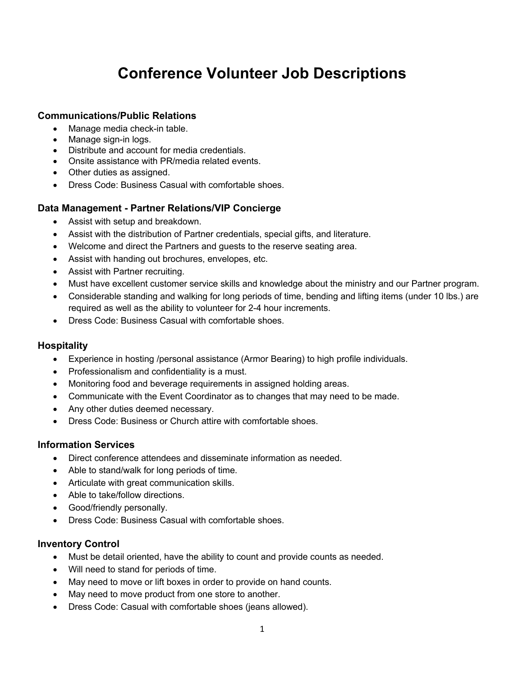# **Conference Volunteer Job Descriptions**

#### **Communications/Public Relations**

- Manage media check-in table.
- Manage sign-in logs.
- Distribute and account for media credentials.
- Onsite assistance with PR/media related events.
- Other duties as assigned.
- Dress Code: Business Casual with comfortable shoes.

#### **Data Management - Partner Relations/VIP Concierge**

- Assist with setup and breakdown.
- Assist with the distribution of Partner credentials, special gifts, and literature.
- Welcome and direct the Partners and guests to the reserve seating area.
- Assist with handing out brochures, envelopes, etc.
- Assist with Partner recruiting.
- Must have excellent customer service skills and knowledge about the ministry and our Partner program.
- Considerable standing and walking for long periods of time, bending and lifting items (under 10 lbs.) are required as well as the ability to volunteer for 2-4 hour increments.
- Dress Code: Business Casual with comfortable shoes.

#### **Hospitality**

- Experience in hosting /personal assistance (Armor Bearing) to high profile individuals.
- Professionalism and confidentiality is a must.
- Monitoring food and beverage requirements in assigned holding areas.
- Communicate with the Event Coordinator as to changes that may need to be made.
- Any other duties deemed necessary.
- Dress Code: Business or Church attire with comfortable shoes.

#### **Information Services**

- Direct conference attendees and disseminate information as needed.
- Able to stand/walk for long periods of time.
- Articulate with great communication skills.
- Able to take/follow directions.
- Good/friendly personally.
- Dress Code: Business Casual with comfortable shoes.

#### **Inventory Control**

- Must be detail oriented, have the ability to count and provide counts as needed.
- Will need to stand for periods of time.
- May need to move or lift boxes in order to provide on hand counts.
- May need to move product from one store to another.
- Dress Code: Casual with comfortable shoes (jeans allowed).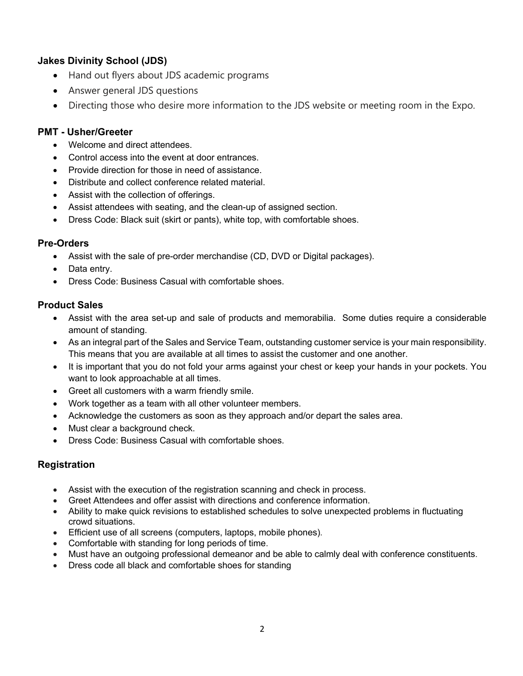# **Jakes Divinity School (JDS)**

- Hand out flyers about JDS academic programs
- Answer general JDS questions
- Directing those who desire more information to the JDS website or meeting room in the Expo.

# **PMT - Usher/Greeter**

- Welcome and direct attendees.
- Control access into the event at door entrances.
- Provide direction for those in need of assistance.
- Distribute and collect conference related material.
- Assist with the collection of offerings.
- Assist attendees with seating, and the clean-up of assigned section.
- Dress Code: Black suit (skirt or pants), white top, with comfortable shoes.

# **Pre-Orders**

- Assist with the sale of pre-order merchandise (CD, DVD or Digital packages).
- Data entry.
- Dress Code: Business Casual with comfortable shoes.

# **Product Sales**

- Assist with the area set-up and sale of products and memorabilia. Some duties require a considerable amount of standing.
- As an integral part of the Sales and Service Team, outstanding customer service is your main responsibility. This means that you are available at all times to assist the customer and one another.
- It is important that you do not fold your arms against your chest or keep your hands in your pockets. You want to look approachable at all times.
- Greet all customers with a warm friendly smile.
- Work together as a team with all other volunteer members.
- Acknowledge the customers as soon as they approach and/or depart the sales area.
- Must clear a background check.
- Dress Code: Business Casual with comfortable shoes.

# **Registration**

- Assist with the execution of the registration scanning and check in process.
- Greet Attendees and offer assist with directions and conference information.
- Ability to make quick revisions to established schedules to solve unexpected problems in fluctuating crowd situations.
- Efficient use of all screens (computers, laptops, mobile phones).
- Comfortable with standing for long periods of time.
- Must have an outgoing professional demeanor and be able to calmly deal with conference constituents.
- Dress code all black and comfortable shoes for standing